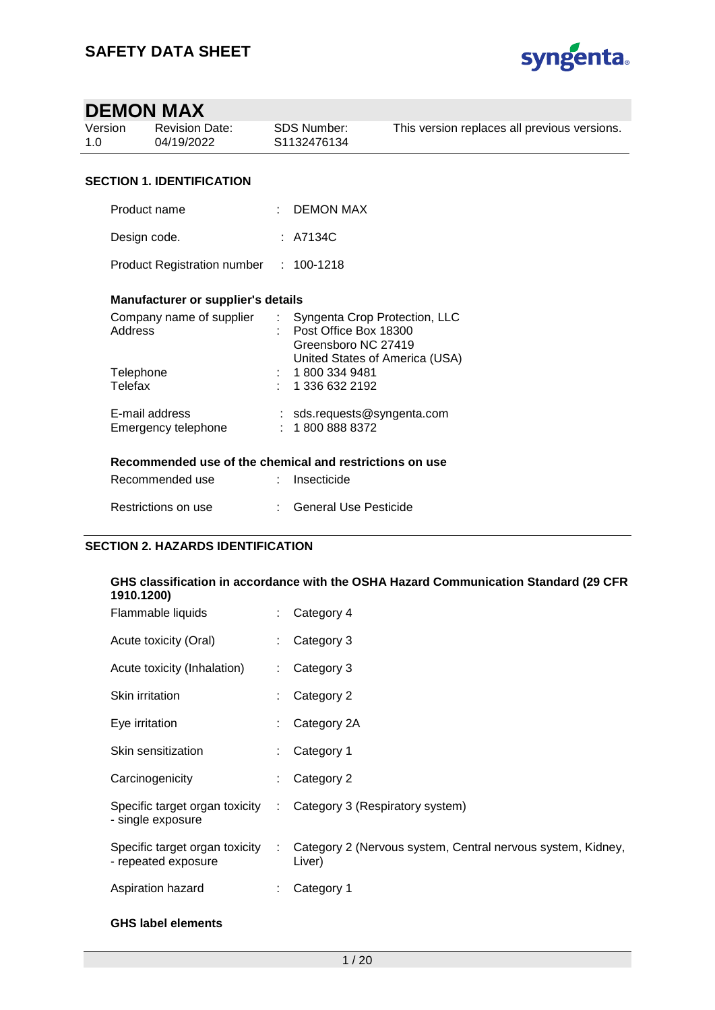

| Version<br>1.0 | <b>Revision Date:</b><br>04/19/2022       | SDS Number:<br>S1132476134  | This version replaces all previous versions.                                                                    |
|----------------|-------------------------------------------|-----------------------------|-----------------------------------------------------------------------------------------------------------------|
|                |                                           |                             |                                                                                                                 |
|                | <b>SECTION 1. IDENTIFICATION</b>          |                             |                                                                                                                 |
|                | Product name                              |                             | <b>DEMON MAX</b>                                                                                                |
|                | Design code.                              | : A7134C                    |                                                                                                                 |
|                | Product Registration number : 100-1218    |                             |                                                                                                                 |
|                | <b>Manufacturer or supplier's details</b> |                             |                                                                                                                 |
| <b>Address</b> | Company name of supplier                  | $\mathcal{L}^{\mathcal{L}}$ | Syngenta Crop Protection, LLC<br>Post Office Box 18300<br>Greensboro NC 27419<br>United States of America (USA) |
| Telephone      |                                           | : 18003349481               |                                                                                                                 |
| Telefax        |                                           |                             | 1 336 632 2192                                                                                                  |
|                | E-mail address<br>Emergency telephone     |                             | : $sds$ . requests @syngenta.com<br>18008888372                                                                 |
|                |                                           |                             | Recommended use of the chemical and restrictions on use                                                         |
|                | Recommended use                           | Insecticide                 |                                                                                                                 |
|                | Restrictions on use                       |                             | <b>General Use Pesticide</b>                                                                                    |

| GHS classification in accordance with the OSHA Hazard Communication Standard (29 CFR<br>1910.1200) |                             |                                                                       |  |  |  |
|----------------------------------------------------------------------------------------------------|-----------------------------|-----------------------------------------------------------------------|--|--|--|
| Flammable liquids                                                                                  |                             | Category 4                                                            |  |  |  |
| Acute toxicity (Oral)                                                                              |                             | Category 3                                                            |  |  |  |
| Acute toxicity (Inhalation)                                                                        |                             | Category 3                                                            |  |  |  |
| <b>Skin irritation</b>                                                                             |                             | Category 2                                                            |  |  |  |
| Eye irritation                                                                                     |                             | Category 2A                                                           |  |  |  |
| Skin sensitization                                                                                 |                             | Category 1                                                            |  |  |  |
| Carcinogenicity                                                                                    |                             | Category 2                                                            |  |  |  |
| Specific target organ toxicity<br>- single exposure                                                | $\mathcal{L}_{\mathcal{A}}$ | Category 3 (Respiratory system)                                       |  |  |  |
| Specific target organ toxicity<br>- repeated exposure                                              | ÷                           | Category 2 (Nervous system, Central nervous system, Kidney,<br>Liver) |  |  |  |
| Aspiration hazard                                                                                  |                             | Category 1                                                            |  |  |  |

### **GHS label elements**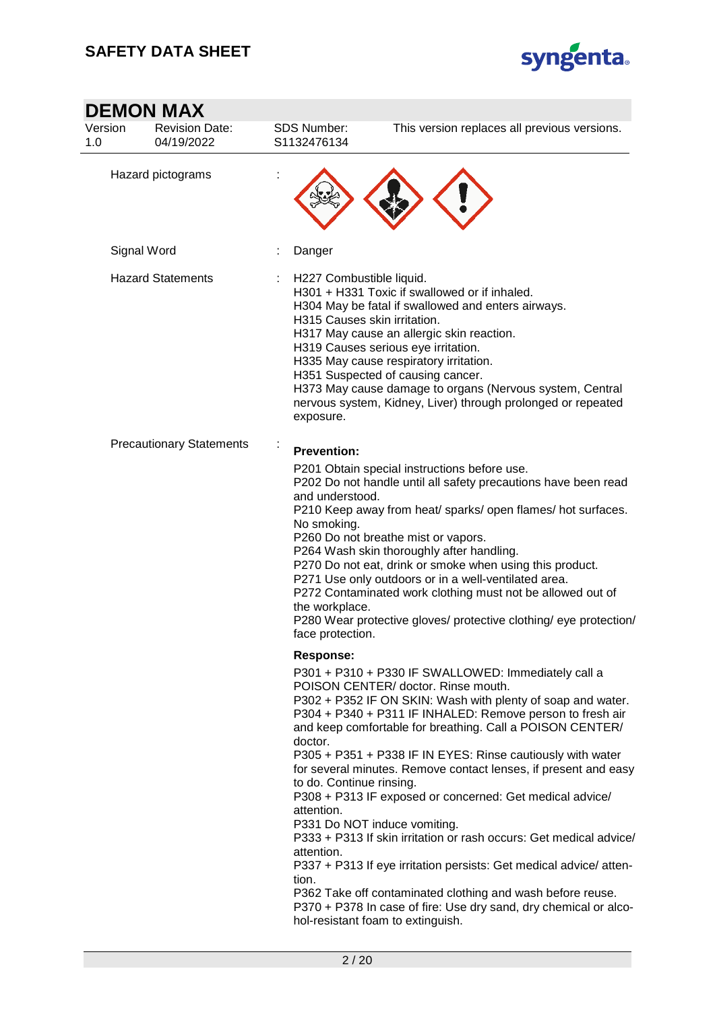$\sim$ 



|                | <b>DEMON MAX</b>                    |                                                                                              |                                                                                                                                                                                                                                                                                                                                                                                                                                                                                                                                                                                                                                                                                                                                                                                                                                    |
|----------------|-------------------------------------|----------------------------------------------------------------------------------------------|------------------------------------------------------------------------------------------------------------------------------------------------------------------------------------------------------------------------------------------------------------------------------------------------------------------------------------------------------------------------------------------------------------------------------------------------------------------------------------------------------------------------------------------------------------------------------------------------------------------------------------------------------------------------------------------------------------------------------------------------------------------------------------------------------------------------------------|
| Version<br>1.0 | <b>Revision Date:</b><br>04/19/2022 | <b>SDS Number:</b><br>S1132476134                                                            | This version replaces all previous versions.                                                                                                                                                                                                                                                                                                                                                                                                                                                                                                                                                                                                                                                                                                                                                                                       |
|                | Hazard pictograms                   |                                                                                              |                                                                                                                                                                                                                                                                                                                                                                                                                                                                                                                                                                                                                                                                                                                                                                                                                                    |
|                | Signal Word                         | Danger                                                                                       |                                                                                                                                                                                                                                                                                                                                                                                                                                                                                                                                                                                                                                                                                                                                                                                                                                    |
|                | <b>Hazard Statements</b>            | H227 Combustible liquid.<br>H315 Causes skin irritation.<br>exposure.                        | H301 + H331 Toxic if swallowed or if inhaled.<br>H304 May be fatal if swallowed and enters airways.<br>H317 May cause an allergic skin reaction.<br>H319 Causes serious eye irritation.<br>H335 May cause respiratory irritation.<br>H351 Suspected of causing cancer.<br>H373 May cause damage to organs (Nervous system, Central<br>nervous system, Kidney, Liver) through prolonged or repeated                                                                                                                                                                                                                                                                                                                                                                                                                                 |
|                | <b>Precautionary Statements</b>     | <b>Prevention:</b>                                                                           |                                                                                                                                                                                                                                                                                                                                                                                                                                                                                                                                                                                                                                                                                                                                                                                                                                    |
|                |                                     | and understood.<br>No smoking.<br>the workplace.<br>face protection.                         | P201 Obtain special instructions before use.<br>P202 Do not handle until all safety precautions have been read<br>P210 Keep away from heat/ sparks/ open flames/ hot surfaces.<br>P260 Do not breathe mist or vapors.<br>P264 Wash skin thoroughly after handling.<br>P270 Do not eat, drink or smoke when using this product.<br>P271 Use only outdoors or in a well-ventilated area.<br>P272 Contaminated work clothing must not be allowed out of<br>P280 Wear protective gloves/ protective clothing/ eye protection/                                                                                                                                                                                                                                                                                                          |
|                |                                     | <b>Response:</b><br>doctor.<br>to do. Continue rinsing.<br>attention.<br>attention.<br>tion. | P301 + P310 + P330 IF SWALLOWED: Immediately call a<br>POISON CENTER/ doctor. Rinse mouth.<br>P302 + P352 IF ON SKIN: Wash with plenty of soap and water.<br>P304 + P340 + P311 IF INHALED: Remove person to fresh air<br>and keep comfortable for breathing. Call a POISON CENTER/<br>P305 + P351 + P338 IF IN EYES: Rinse cautiously with water<br>for several minutes. Remove contact lenses, if present and easy<br>P308 + P313 IF exposed or concerned: Get medical advice/<br>P331 Do NOT induce vomiting.<br>P333 + P313 If skin irritation or rash occurs: Get medical advice/<br>P337 + P313 If eye irritation persists: Get medical advice/atten-<br>P362 Take off contaminated clothing and wash before reuse.<br>P370 + P378 In case of fire: Use dry sand, dry chemical or alco-<br>hol-resistant foam to extinguish. |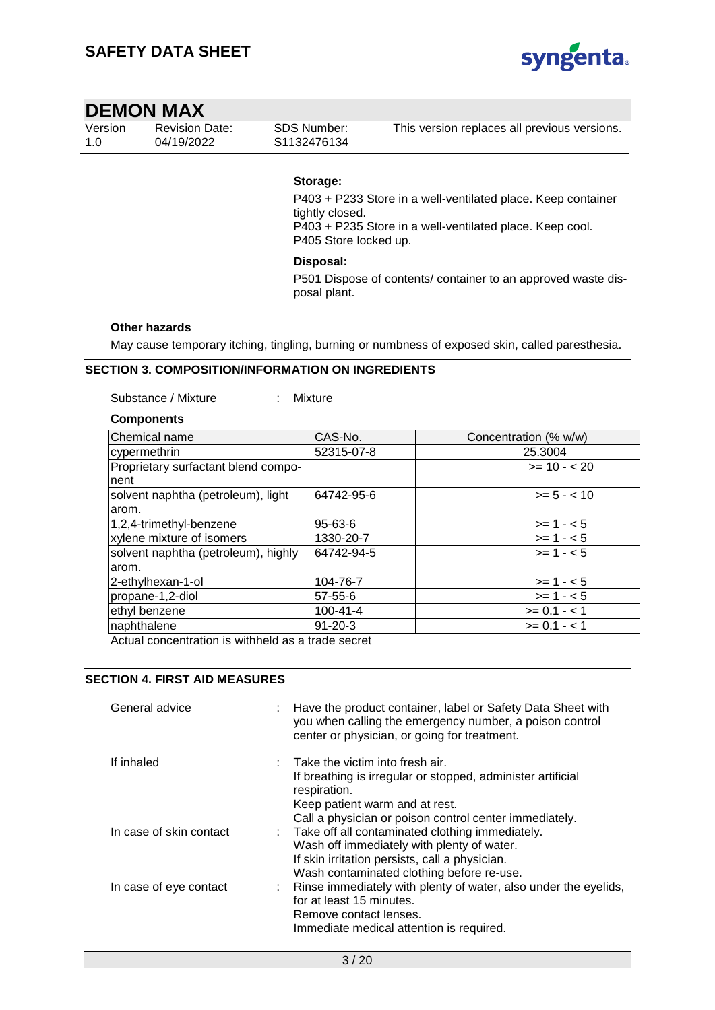

| Version | <b>Revision Date:</b> | SDS Number: | This version replaces all previous versions. |
|---------|-----------------------|-------------|----------------------------------------------|
| 1.0     | 04/19/2022            | S1132476134 |                                              |

#### **Storage:**

P403 + P233 Store in a well-ventilated place. Keep container tightly closed. P403 + P235 Store in a well-ventilated place. Keep cool. P405 Store locked up.

#### **Disposal:**

P501 Dispose of contents/ container to an approved waste disposal plant.

#### **Other hazards**

May cause temporary itching, tingling, burning or numbness of exposed skin, called paresthesia.

#### **SECTION 3. COMPOSITION/INFORMATION ON INGREDIENTS**

#### Substance / Mixture : Mixture

#### **Components**

| <b>Chemical name</b>                | CAS-No.        | Concentration (% w/w) |
|-------------------------------------|----------------|-----------------------|
| cypermethrin                        | 52315-07-8     | 25.3004               |
| Proprietary surfactant blend compo- |                | $>= 10 - 20$          |
| Inent                               |                |                       |
| solvent naphtha (petroleum), light  | 64742-95-6     | $>= 5 - < 10$         |
| arom.                               |                |                       |
| 1,2,4-trimethyl-benzene             | 95-63-6        | $>= 1 - 5$            |
| xylene mixture of isomers           | 1330-20-7      | $>= 1 - 5$            |
| solvent naphtha (petroleum), highly | 64742-94-5     | $>= 1 - 5$            |
| larom.                              |                |                       |
| 2-ethylhexan-1-ol                   | 104-76-7       | $>= 1 - 5$            |
| propane-1,2-diol                    | 57-55-6        | $>= 1 - 5$            |
| ethyl benzene                       | $100 - 41 - 4$ | $>= 0.1 - 1$          |
| naphthalene                         | 91-20-3        | $>= 0.1 - 1$          |

Actual concentration is withheld as a trade secret

### **SECTION 4. FIRST AID MEASURES**

| General advice          | : Have the product container, label or Safety Data Sheet with<br>you when calling the emergency number, a poison control<br>center or physician, or going for treatment.                                                |
|-------------------------|-------------------------------------------------------------------------------------------------------------------------------------------------------------------------------------------------------------------------|
| If inhaled              | $\therefore$ Take the victim into fresh air.<br>If breathing is irregular or stopped, administer artificial<br>respiration.<br>Keep patient warm and at rest.<br>Call a physician or poison control center immediately. |
| In case of skin contact | : Take off all contaminated clothing immediately.<br>Wash off immediately with plenty of water.<br>If skin irritation persists, call a physician.<br>Wash contaminated clothing before re-use.                          |
| In case of eye contact  | : Rinse immediately with plenty of water, also under the eyelids,<br>for at least 15 minutes.<br>Remove contact lenses.<br>Immediate medical attention is required.                                                     |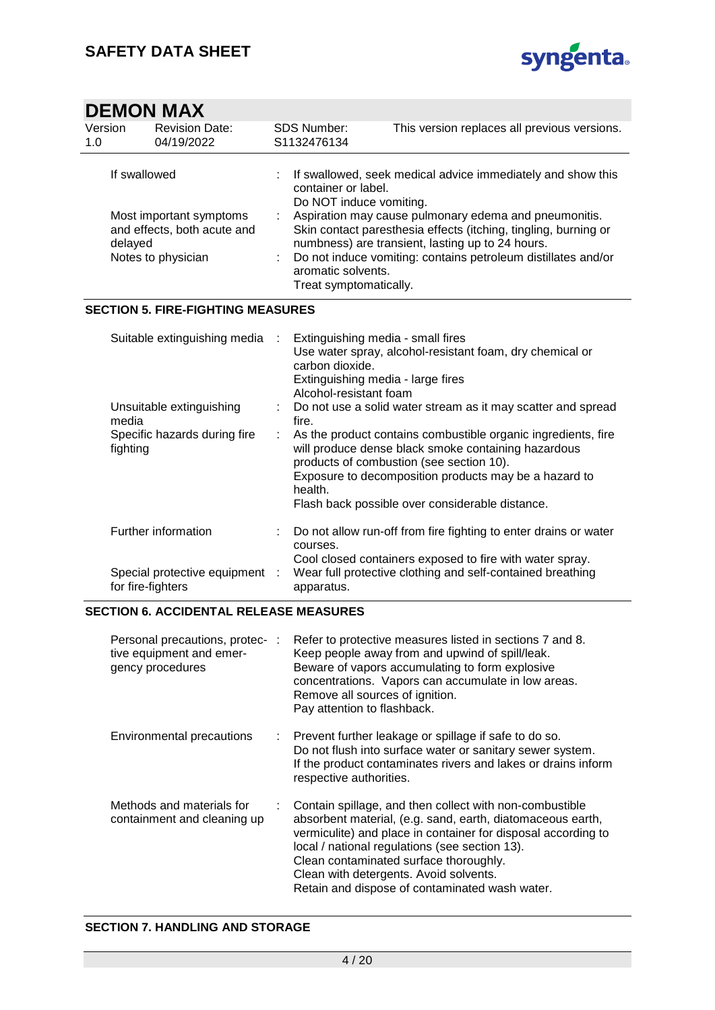

| Version<br>1.0 | <b>Revision Date:</b><br>04/19/2022                                          | <b>SDS Number:</b><br>S1132476134              | This version replaces all previous versions.                                                                                                                                                                                                  |
|----------------|------------------------------------------------------------------------------|------------------------------------------------|-----------------------------------------------------------------------------------------------------------------------------------------------------------------------------------------------------------------------------------------------|
| If swallowed   |                                                                              | container or label.<br>Do NOT induce vomiting. | If swallowed, seek medical advice immediately and show this                                                                                                                                                                                   |
| delayed        | Most important symptoms<br>and effects, both acute and<br>Notes to physician | aromatic solvents.<br>Treat symptomatically.   | Aspiration may cause pulmonary edema and pneumonitis.<br>Skin contact paresthesia effects (itching, tingling, burning or<br>numbness) are transient, lasting up to 24 hours.<br>Do not induce vomiting: contains petroleum distillates and/or |

### **SECTION 5. FIRE-FIGHTING MEASURES**

| Suitable extinguishing media :                      |  | Extinguishing media - small fires<br>Use water spray, alcohol-resistant foam, dry chemical or<br>carbon dioxide.<br>Extinguishing media - large fires<br>Alcohol-resistant foam                                                                                                           |
|-----------------------------------------------------|--|-------------------------------------------------------------------------------------------------------------------------------------------------------------------------------------------------------------------------------------------------------------------------------------------|
| Unsuitable extinguishing<br>media                   |  | : Do not use a solid water stream as it may scatter and spread<br>fire.                                                                                                                                                                                                                   |
| Specific hazards during fire<br>fighting            |  | : As the product contains combustible organic ingredients, fire<br>will produce dense black smoke containing hazardous<br>products of combustion (see section 10).<br>Exposure to decomposition products may be a hazard to<br>health.<br>Flash back possible over considerable distance. |
| Further information                                 |  | Do not allow run-off from fire fighting to enter drains or water<br>courses.                                                                                                                                                                                                              |
| Special protective equipment :<br>for fire-fighters |  | Cool closed containers exposed to fire with water spray.<br>Wear full protective clothing and self-contained breathing<br>apparatus.                                                                                                                                                      |

#### **SECTION 6. ACCIDENTAL RELEASE MEASURES**

| Personal precautions, protec-:<br>tive equipment and emer-<br>gency procedures | Refer to protective measures listed in sections 7 and 8.<br>Keep people away from and upwind of spill/leak.<br>Beware of vapors accumulating to form explosive<br>concentrations. Vapors can accumulate in low areas.<br>Remove all sources of ignition.<br>Pay attention to flashback.                                                                                        |
|--------------------------------------------------------------------------------|--------------------------------------------------------------------------------------------------------------------------------------------------------------------------------------------------------------------------------------------------------------------------------------------------------------------------------------------------------------------------------|
| Environmental precautions                                                      | : Prevent further leakage or spillage if safe to do so.<br>Do not flush into surface water or sanitary sewer system.<br>If the product contaminates rivers and lakes or drains inform<br>respective authorities.                                                                                                                                                               |
| Methods and materials for<br>containment and cleaning up                       | Contain spillage, and then collect with non-combustible<br>absorbent material, (e.g. sand, earth, diatomaceous earth,<br>vermiculite) and place in container for disposal according to<br>local / national regulations (see section 13).<br>Clean contaminated surface thoroughly.<br>Clean with detergents. Avoid solvents.<br>Retain and dispose of contaminated wash water. |

#### **SECTION 7. HANDLING AND STORAGE**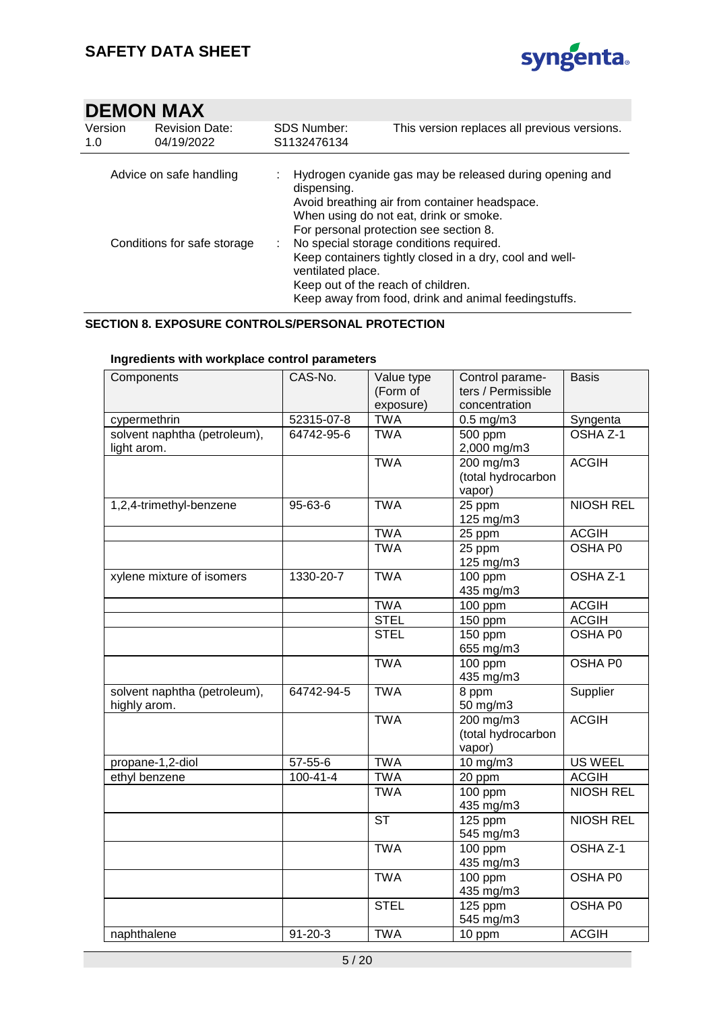

| Version<br>1.0              | <b>Revision Date:</b><br>04/19/2022 | <b>SDS Number:</b><br>S1132476134 | This version replaces all previous versions.                                                                                                                                                     |  |
|-----------------------------|-------------------------------------|-----------------------------------|--------------------------------------------------------------------------------------------------------------------------------------------------------------------------------------------------|--|
| Advice on safe handling     |                                     | dispensing.                       | Hydrogen cyanide gas may be released during opening and<br>Avoid breathing air from container headspace.<br>When using do not eat, drink or smoke.<br>For personal protection see section 8.     |  |
| Conditions for safe storage |                                     | ventilated place.                 | No special storage conditions required.<br>Keep containers tightly closed in a dry, cool and well-<br>Keep out of the reach of children.<br>Keep away from food, drink and animal feedingstuffs. |  |

#### **SECTION 8. EXPOSURE CONTROLS/PERSONAL PROTECTION**

| Components                                   | CAS-No.        | Value type<br>(Form of<br>exposure) | Control parame-<br>ters / Permissible<br>concentration | <b>Basis</b>        |
|----------------------------------------------|----------------|-------------------------------------|--------------------------------------------------------|---------------------|
| cypermethrin                                 | 52315-07-8     | <b>TWA</b>                          | $0.5$ mg/m $3$                                         | Syngenta            |
| solvent naphtha (petroleum),<br>light arom.  | 64742-95-6     | <b>TWA</b>                          | 500 ppm<br>2,000 mg/m3                                 | OSHA <sub>Z-1</sub> |
|                                              |                | <b>TWA</b>                          | 200 mg/m3<br>(total hydrocarbon<br>vapor)              | <b>ACGIH</b>        |
| 1,2,4-trimethyl-benzene                      | 95-63-6        | <b>TWA</b>                          | $\overline{25}$ ppm<br>125 mg/m3                       | <b>NIOSH REL</b>    |
|                                              |                | <b>TWA</b>                          | 25 ppm                                                 | <b>ACGIH</b>        |
|                                              |                | <b>TWA</b>                          | 25 ppm<br>125 mg/m3                                    | <b>OSHA PO</b>      |
| xylene mixture of isomers                    | 1330-20-7      | <b>TWA</b>                          | 100 ppm<br>435 mg/m3                                   | OSHA Z-1            |
|                                              |                | <b>TWA</b>                          | $\frac{1}{100}$ ppm                                    | <b>ACGIH</b>        |
|                                              |                | <b>STEL</b>                         | 150 ppm                                                | <b>ACGIH</b>        |
|                                              |                | <b>STEL</b>                         | 150 ppm<br>655 mg/m3                                   | <b>OSHA P0</b>      |
|                                              |                | <b>TWA</b>                          | 100 ppm<br>435 mg/m3                                   | OSHA P0             |
| solvent naphtha (petroleum),<br>highly arom. | 64742-94-5     | <b>TWA</b>                          | 8 ppm<br>50 mg/m3                                      | Supplier            |
|                                              |                | <b>TWA</b>                          | 200 mg/m3<br>(total hydrocarbon<br>vapor)              | <b>ACGIH</b>        |
| propane-1,2-diol                             | 57-55-6        | <b>TWA</b>                          | 10 mg/m3                                               | <b>US WEEL</b>      |
| ethyl benzene                                | $100 - 41 - 4$ | <b>TWA</b>                          | 20 ppm                                                 | <b>ACGIH</b>        |
|                                              |                | <b>TWA</b>                          | 100 ppm<br>435 mg/m3                                   | <b>NIOSH REL</b>    |
|                                              |                | <b>ST</b>                           | $125$ ppm<br>545 mg/m3                                 | <b>NIOSH REL</b>    |
|                                              |                | <b>TWA</b>                          | $100$ ppm<br>435 mg/m3                                 | OSHA Z-1            |
|                                              |                | <b>TWA</b>                          | 100 ppm<br>435 mg/m3                                   | OSHA P0             |
|                                              |                | <b>STEL</b>                         | 125 ppm<br>545 mg/m3                                   | OSHA P0             |
| naphthalene                                  | $91 - 20 - 3$  | <b>TWA</b>                          | 10 ppm                                                 | <b>ACGIH</b>        |

### **Ingredients with workplace control parameters**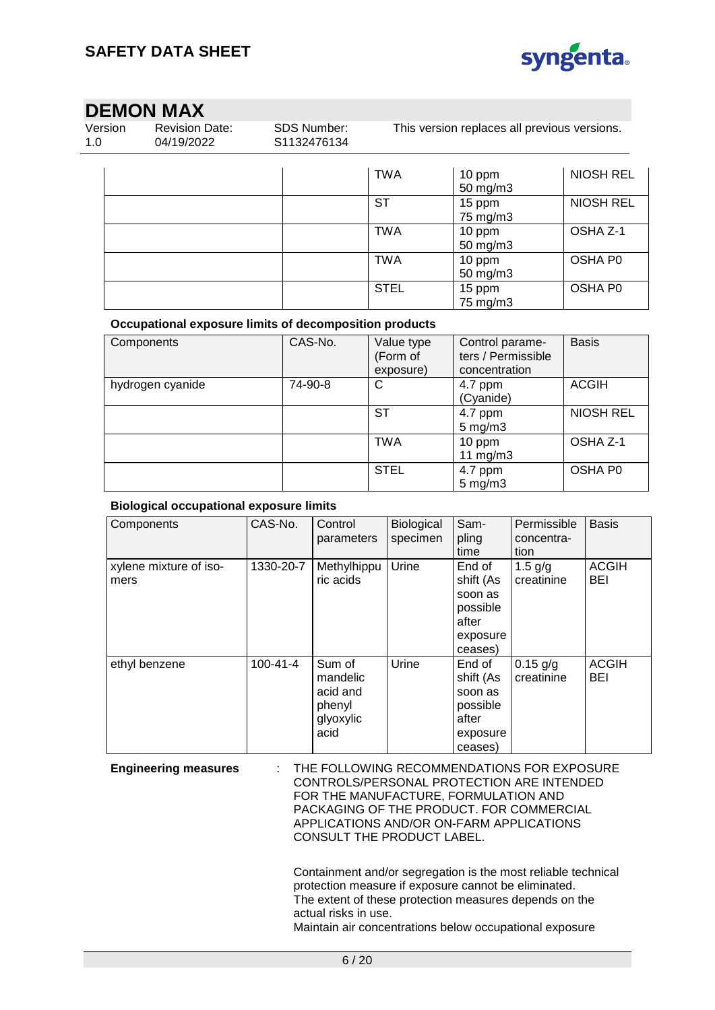

# **DEMON MAX**<br>Version Revision I

| Version<br>1.0 | <b>Revision Date:</b><br>SDS Number:<br>04/19/2022<br>S1132476134 |  | This version replaces all previous versions. |                               |                  |  |
|----------------|-------------------------------------------------------------------|--|----------------------------------------------|-------------------------------|------------------|--|
|                |                                                                   |  | TWA                                          | 10 ppm<br>$50 \text{ mg/m}$ 3 | <b>NIOSH REL</b> |  |
|                |                                                                   |  | ST                                           | 15 ppm<br>75 mg/m3            | NIOSH REL        |  |
|                |                                                                   |  | <b>TWA</b>                                   | 10 ppm<br>50 mg/m $3$         | OSHA Z-1         |  |
|                |                                                                   |  | TWA                                          | 10 ppm<br>50 mg/m3            | OSHA P0          |  |
|                |                                                                   |  | <b>STEL</b>                                  | 15 ppm<br>75 mg/m3            | OSHA P0          |  |

#### **Occupational exposure limits of decomposition products**

| Components       | CAS-No. | Value type<br>(Form of<br>exposure) | Control parame-<br>ters / Permissible<br>concentration | <b>Basis</b>        |
|------------------|---------|-------------------------------------|--------------------------------------------------------|---------------------|
| hydrogen cyanide | 74-90-8 | C                                   | 4.7 ppm<br>(Cyanide)                                   | <b>ACGIH</b>        |
|                  |         | SТ                                  | 4.7 ppm<br>$5 \text{ mg/m}$ 3                          | <b>NIOSH REL</b>    |
|                  |         | <b>TWA</b>                          | 10 ppm<br>11 $mg/m3$                                   | OSHA Z-1            |
|                  |         | <b>STEL</b>                         | 4.7 ppm<br>$5 \text{ mg/m}$ 3                          | OSHA P <sub>0</sub> |

#### **Biological occupational exposure limits**

| Components                     | CAS-No.        | Control<br>parameters                                         | Biological<br>specimen | Sam-<br>pling<br>time                                                      | Permissible<br>concentra-<br>tion | <b>Basis</b>               |
|--------------------------------|----------------|---------------------------------------------------------------|------------------------|----------------------------------------------------------------------------|-----------------------------------|----------------------------|
| xylene mixture of iso-<br>mers | 1330-20-7      | Methylhippu<br>ric acids                                      | Urine                  | End of<br>shift (As<br>soon as<br>possible<br>after<br>exposure<br>ceases) | 1.5 $g/g$<br>creatinine           | <b>ACGIH</b><br><b>BEI</b> |
| ethyl benzene                  | $100 - 41 - 4$ | Sum of<br>mandelic<br>acid and<br>phenyl<br>glyoxylic<br>acid | Urine                  | End of<br>shift (As<br>soon as<br>possible<br>after<br>exposure<br>ceases) | $0.15$ g/g<br>creatinine          | <b>ACGIH</b><br>BEI        |

**Engineering measures** : THE FOLLOWING RECOMMENDATIONS FOR EXPOSURE CONTROLS/PERSONAL PROTECTION ARE INTENDED FOR THE MANUFACTURE, FORMULATION AND PACKAGING OF THE PRODUCT. FOR COMMERCIAL APPLICATIONS AND/OR ON-FARM APPLICATIONS CONSULT THE PRODUCT LABEL.

> Containment and/or segregation is the most reliable technical protection measure if exposure cannot be eliminated. The extent of these protection measures depends on the actual risks in use.

Maintain air concentrations below occupational exposure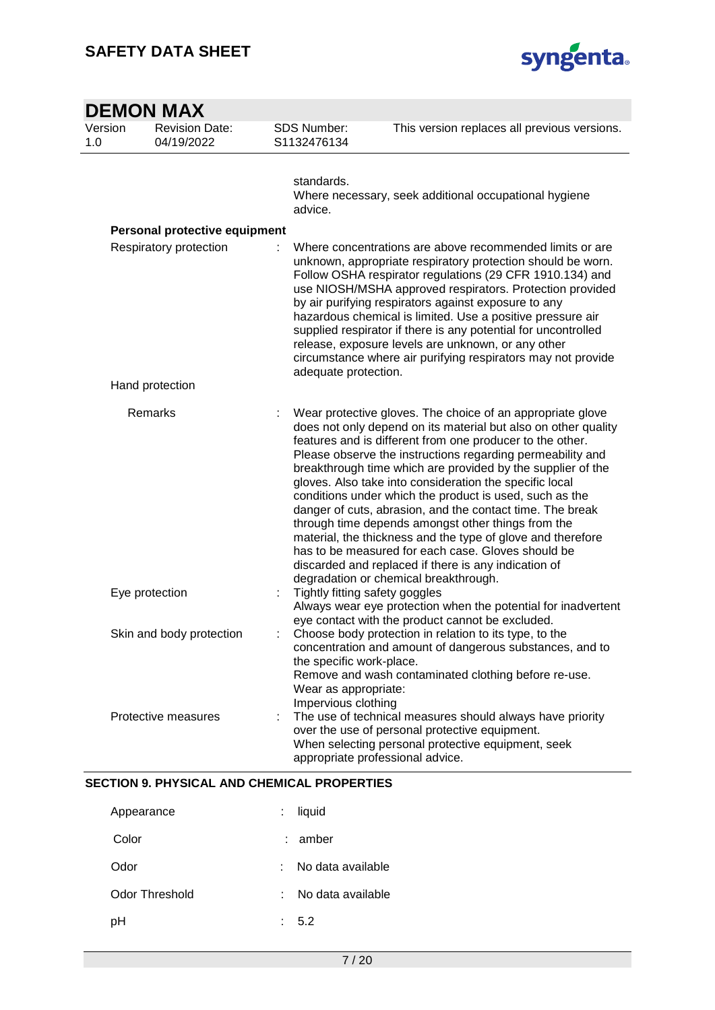

| <b>DEMON MAX</b> |  |                                     |                                                                                                                                                                                                                                                                                                                                                                                                                                                                                                                                                                                                                                                                                                                                                                                       |                                              |  |  |  |
|------------------|--|-------------------------------------|---------------------------------------------------------------------------------------------------------------------------------------------------------------------------------------------------------------------------------------------------------------------------------------------------------------------------------------------------------------------------------------------------------------------------------------------------------------------------------------------------------------------------------------------------------------------------------------------------------------------------------------------------------------------------------------------------------------------------------------------------------------------------------------|----------------------------------------------|--|--|--|
| Version<br>1.0   |  | <b>Revision Date:</b><br>04/19/2022 | SDS Number:<br>S1132476134                                                                                                                                                                                                                                                                                                                                                                                                                                                                                                                                                                                                                                                                                                                                                            | This version replaces all previous versions. |  |  |  |
|                  |  |                                     | standards.<br>Where necessary, seek additional occupational hygiene<br>advice.                                                                                                                                                                                                                                                                                                                                                                                                                                                                                                                                                                                                                                                                                                        |                                              |  |  |  |
|                  |  | Personal protective equipment       |                                                                                                                                                                                                                                                                                                                                                                                                                                                                                                                                                                                                                                                                                                                                                                                       |                                              |  |  |  |
|                  |  | Respiratory protection              | Where concentrations are above recommended limits or are<br>unknown, appropriate respiratory protection should be worn.<br>Follow OSHA respirator regulations (29 CFR 1910.134) and<br>use NIOSH/MSHA approved respirators. Protection provided<br>by air purifying respirators against exposure to any<br>hazardous chemical is limited. Use a positive pressure air<br>supplied respirator if there is any potential for uncontrolled<br>release, exposure levels are unknown, or any other<br>circumstance where air purifying respirators may not provide<br>adequate protection.                                                                                                                                                                                                 |                                              |  |  |  |
|                  |  | Hand protection                     |                                                                                                                                                                                                                                                                                                                                                                                                                                                                                                                                                                                                                                                                                                                                                                                       |                                              |  |  |  |
|                  |  | Remarks                             | Wear protective gloves. The choice of an appropriate glove<br>does not only depend on its material but also on other quality<br>features and is different from one producer to the other.<br>Please observe the instructions regarding permeability and<br>breakthrough time which are provided by the supplier of the<br>gloves. Also take into consideration the specific local<br>conditions under which the product is used, such as the<br>danger of cuts, abrasion, and the contact time. The break<br>through time depends amongst other things from the<br>material, the thickness and the type of glove and therefore<br>has to be measured for each case. Gloves should be<br>discarded and replaced if there is any indication of<br>degradation or chemical breakthrough. |                                              |  |  |  |
|                  |  | Eye protection                      | Tightly fitting safety goggles<br>Always wear eye protection when the potential for inadvertent<br>eye contact with the product cannot be excluded.                                                                                                                                                                                                                                                                                                                                                                                                                                                                                                                                                                                                                                   |                                              |  |  |  |
|                  |  | Skin and body protection            | Choose body protection in relation to its type, to the<br>concentration and amount of dangerous substances, and to<br>the specific work-place.<br>Remove and wash contaminated clothing before re-use.<br>Wear as appropriate:<br>Impervious clothing                                                                                                                                                                                                                                                                                                                                                                                                                                                                                                                                 |                                              |  |  |  |
|                  |  | Protective measures                 | The use of technical measures should always have priority<br>over the use of personal protective equipment.<br>When selecting personal protective equipment, seek<br>appropriate professional advice.                                                                                                                                                                                                                                                                                                                                                                                                                                                                                                                                                                                 |                                              |  |  |  |

### **SECTION 9. PHYSICAL AND CHEMICAL PROPERTIES**

| Appearance     |    | liquid            |
|----------------|----|-------------------|
| Color          |    | : amber           |
| Odor           | t. | No data available |
| Odor Threshold | t. | No data available |
| pH             |    | 5.2               |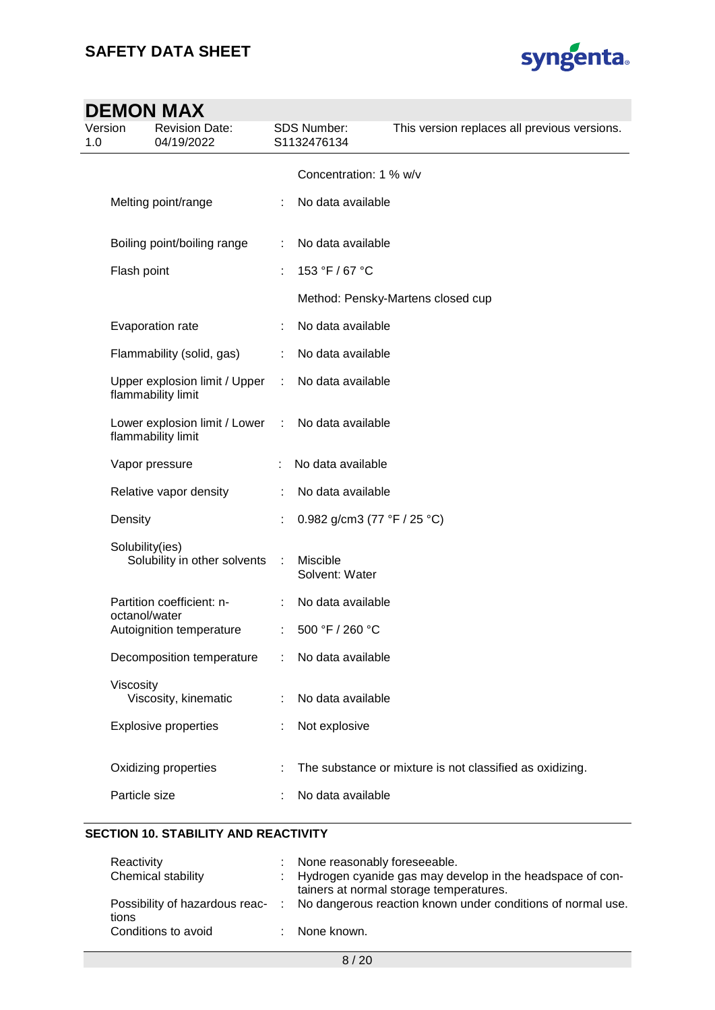

## **DEMON MAX** Version 1.0 Revision Date: 04/19/2022 SDS Number: S1132476134 This version replaces all previous versions. Concentration: 1 % w/v Melting point/range : No data available Boiling point/boiling range : No data available Flash point : 153 °F / 67 °C Method: Pensky-Martens closed cup Evaporation rate : No data available Flammability (solid, gas) : No data available Upper explosion limit / Upper flammability limit : No data available Lower explosion limit / Lower flammability limit : No data available Vapor pressure : No data available Relative vapor density : No data available Density : 0.982 g/cm3 (77 °F / 25 °C) Solubility(ies) Solubility in other solvents : Miscible Solvent: Water Partition coefficient: noctanol/water : No data available Autoignition temperature : 500 °F / 260 °C Decomposition temperature : No data available Viscosity Viscosity, kinematic : No data available Explosive properties : Not explosive Oxidizing properties : The substance or mixture is not classified as oxidizing. Particle size : No data available

#### **SECTION 10. STABILITY AND REACTIVITY**

| Reactivity          | : None reasonably foreseeable.                                                                         |
|---------------------|--------------------------------------------------------------------------------------------------------|
| Chemical stability  | : Hydrogen cyanide gas may develop in the headspace of con-<br>tainers at normal storage temperatures. |
| tions               | Possibility of hazardous reac- : No dangerous reaction known under conditions of normal use.           |
| Conditions to avoid | : None known.                                                                                          |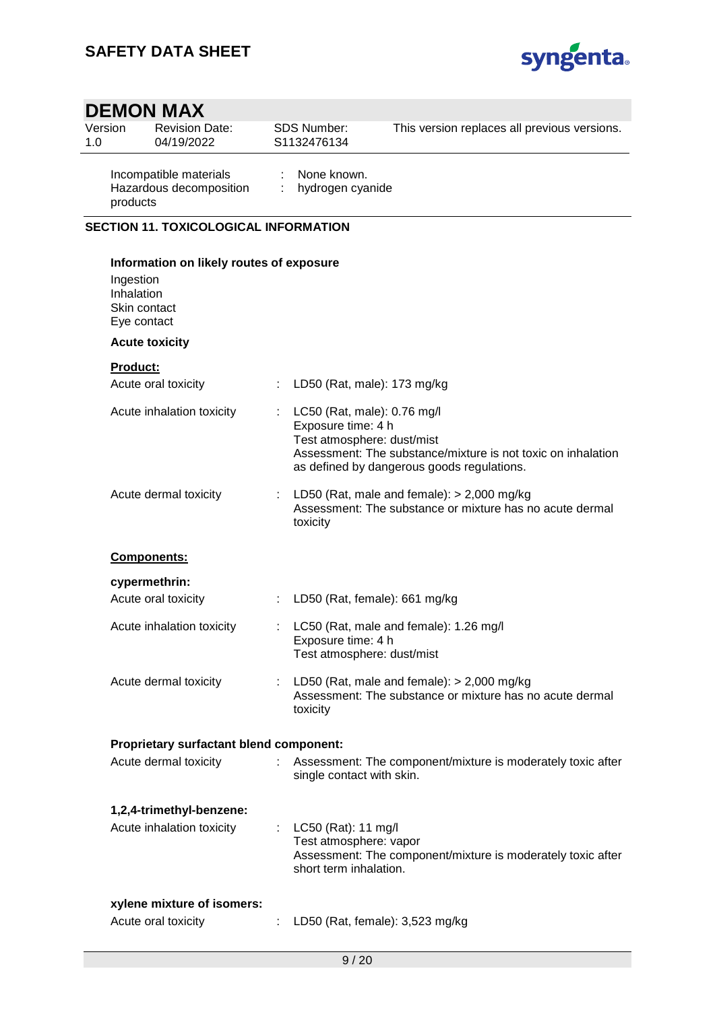

| 1.0 | Version                                                | <b>Revision Date:</b><br>04/19/2022                   |                                      | SDS Number:<br>S1132476134                                                      | This version replaces all previous versions.                                                               |  |  |  |  |  |
|-----|--------------------------------------------------------|-------------------------------------------------------|--------------------------------------|---------------------------------------------------------------------------------|------------------------------------------------------------------------------------------------------------|--|--|--|--|--|
|     | products                                               | Incompatible materials<br>Hazardous decomposition     | None known.<br>÷<br>hydrogen cyanide |                                                                                 |                                                                                                            |  |  |  |  |  |
|     | <b>SECTION 11. TOXICOLOGICAL INFORMATION</b>           |                                                       |                                      |                                                                                 |                                                                                                            |  |  |  |  |  |
|     | Information on likely routes of exposure               |                                                       |                                      |                                                                                 |                                                                                                            |  |  |  |  |  |
|     | Ingestion<br>Inhalation<br>Skin contact<br>Eye contact |                                                       |                                      |                                                                                 |                                                                                                            |  |  |  |  |  |
|     |                                                        | <b>Acute toxicity</b>                                 |                                      |                                                                                 |                                                                                                            |  |  |  |  |  |
|     | Product:                                               |                                                       |                                      |                                                                                 |                                                                                                            |  |  |  |  |  |
|     |                                                        | Acute oral toxicity                                   |                                      | LD50 (Rat, male): 173 mg/kg                                                     |                                                                                                            |  |  |  |  |  |
|     |                                                        | Acute inhalation toxicity                             |                                      | LC50 (Rat, male): 0.76 mg/l<br>Exposure time: 4 h<br>Test atmosphere: dust/mist | Assessment: The substance/mixture is not toxic on inhalation<br>as defined by dangerous goods regulations. |  |  |  |  |  |
|     |                                                        | Acute dermal toxicity                                 |                                      | toxicity                                                                        | LD50 (Rat, male and female): $>$ 2,000 mg/kg<br>Assessment: The substance or mixture has no acute dermal   |  |  |  |  |  |
|     |                                                        | Components:                                           |                                      |                                                                                 |                                                                                                            |  |  |  |  |  |
|     |                                                        | cypermethrin:                                         |                                      |                                                                                 |                                                                                                            |  |  |  |  |  |
|     |                                                        | Acute oral toxicity                                   |                                      | LD50 (Rat, female): 661 mg/kg                                                   |                                                                                                            |  |  |  |  |  |
|     |                                                        | Acute inhalation toxicity                             | ÷.                                   | Exposure time: 4 h<br>Test atmosphere: dust/mist                                | LC50 (Rat, male and female): 1.26 mg/l                                                                     |  |  |  |  |  |
|     |                                                        | Acute dermal toxicity                                 |                                      | toxicity                                                                        | LD50 (Rat, male and female): $>$ 2,000 mg/kg<br>Assessment: The substance or mixture has no acute dermal   |  |  |  |  |  |
|     |                                                        | <b>Proprietary surfactant blend component:</b>        |                                      |                                                                                 |                                                                                                            |  |  |  |  |  |
|     |                                                        | Acute dermal toxicity                                 |                                      | single contact with skin.                                                       | Assessment: The component/mixture is moderately toxic after                                                |  |  |  |  |  |
|     |                                                        | 1,2,4-trimethyl-benzene:<br>Acute inhalation toxicity |                                      | : LC50 (Rat): 11 mg/l<br>Test atmosphere: vapor<br>short term inhalation.       | Assessment: The component/mixture is moderately toxic after                                                |  |  |  |  |  |
|     |                                                        | xylene mixture of isomers:<br>Acute oral toxicity     |                                      | LD50 (Rat, female): 3,523 mg/kg                                                 |                                                                                                            |  |  |  |  |  |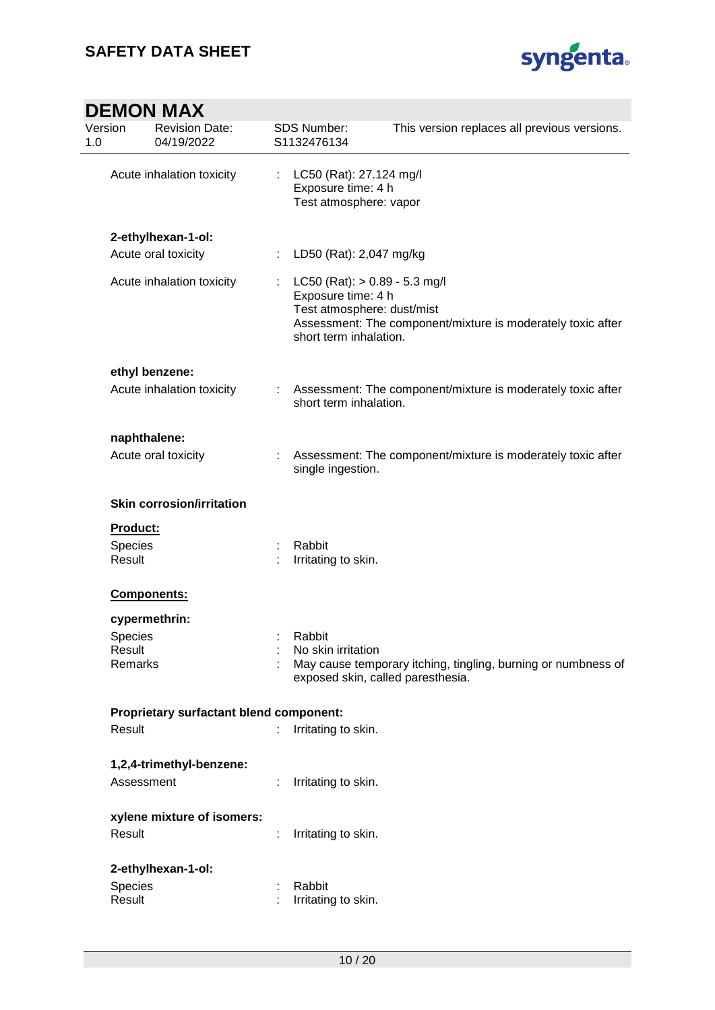

|                | <b>DEMON MAX</b>                               |  |                                                                                                                                                                              |                                                               |  |  |  |
|----------------|------------------------------------------------|--|------------------------------------------------------------------------------------------------------------------------------------------------------------------------------|---------------------------------------------------------------|--|--|--|
| Version<br>1.0 | <b>Revision Date:</b><br>04/19/2022            |  | <b>SDS Number:</b><br>S1132476134                                                                                                                                            | This version replaces all previous versions.                  |  |  |  |
|                | Acute inhalation toxicity                      |  | LC50 (Rat): 27.124 mg/l<br>Exposure time: 4 h<br>Test atmosphere: vapor                                                                                                      |                                                               |  |  |  |
|                | 2-ethylhexan-1-ol:                             |  |                                                                                                                                                                              |                                                               |  |  |  |
|                | Acute oral toxicity                            |  | LD50 (Rat): 2,047 mg/kg                                                                                                                                                      |                                                               |  |  |  |
|                | Acute inhalation toxicity                      |  | LC50 (Rat): $> 0.89 - 5.3$ mg/l<br>Exposure time: 4 h<br>Test atmosphere: dust/mist<br>Assessment: The component/mixture is moderately toxic after<br>short term inhalation. |                                                               |  |  |  |
|                | ethyl benzene:                                 |  |                                                                                                                                                                              |                                                               |  |  |  |
|                | Acute inhalation toxicity                      |  | short term inhalation.                                                                                                                                                       | Assessment: The component/mixture is moderately toxic after   |  |  |  |
|                | naphthalene:                                   |  |                                                                                                                                                                              |                                                               |  |  |  |
|                | Acute oral toxicity                            |  | single ingestion.                                                                                                                                                            | Assessment: The component/mixture is moderately toxic after   |  |  |  |
|                | <b>Skin corrosion/irritation</b>               |  |                                                                                                                                                                              |                                                               |  |  |  |
|                | <b>Product:</b>                                |  |                                                                                                                                                                              |                                                               |  |  |  |
|                | Species<br>Result                              |  | Rabbit<br>Irritating to skin.                                                                                                                                                |                                                               |  |  |  |
|                | <b>Components:</b>                             |  |                                                                                                                                                                              |                                                               |  |  |  |
|                | cypermethrin:                                  |  |                                                                                                                                                                              |                                                               |  |  |  |
|                | Species                                        |  | Rabbit                                                                                                                                                                       |                                                               |  |  |  |
|                | Result<br>Remarks                              |  | No skin irritation<br>exposed skin, called paresthesia.                                                                                                                      | May cause temporary itching, tingling, burning or numbness of |  |  |  |
|                | <b>Proprietary surfactant blend component:</b> |  |                                                                                                                                                                              |                                                               |  |  |  |
|                | Result                                         |  | Irritating to skin.                                                                                                                                                          |                                                               |  |  |  |
|                | 1,2,4-trimethyl-benzene:                       |  |                                                                                                                                                                              |                                                               |  |  |  |
|                | Assessment                                     |  | Irritating to skin.                                                                                                                                                          |                                                               |  |  |  |
|                | xylene mixture of isomers:                     |  |                                                                                                                                                                              |                                                               |  |  |  |
|                | Result                                         |  | Irritating to skin.                                                                                                                                                          |                                                               |  |  |  |
|                | 2-ethylhexan-1-ol:                             |  |                                                                                                                                                                              |                                                               |  |  |  |
|                | Species                                        |  | Rabbit                                                                                                                                                                       |                                                               |  |  |  |
|                | Result                                         |  | Irritating to skin.                                                                                                                                                          |                                                               |  |  |  |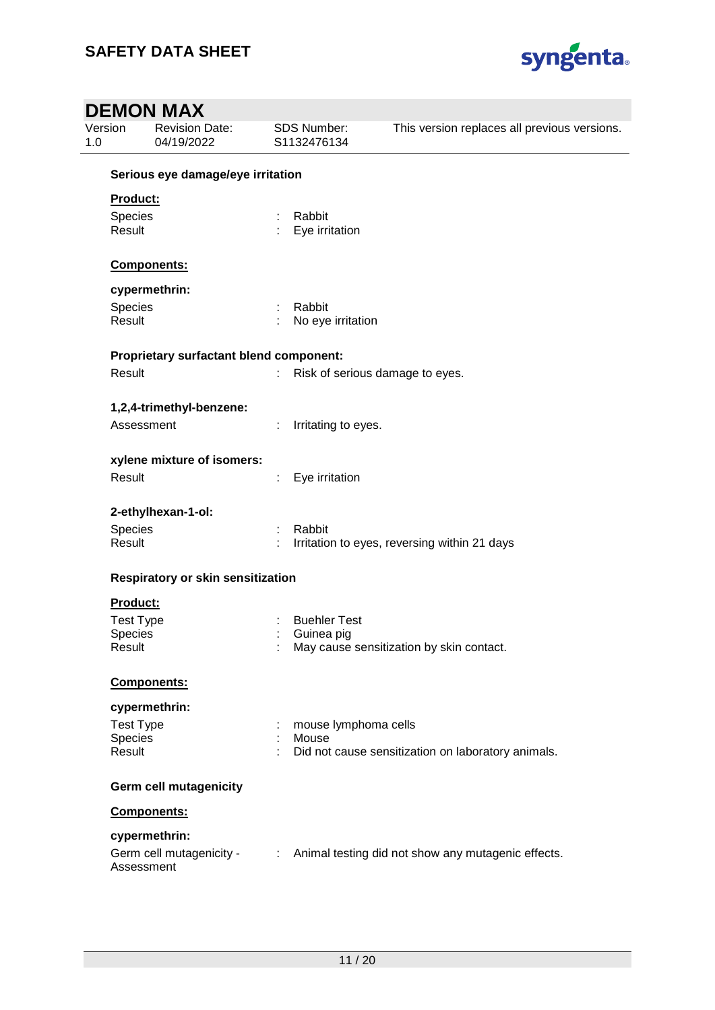

| Version          | <b>Revision Date:</b><br>04/19/2022     |    | SDS Number:<br>S1132476134      | This version replaces all previous versions.         |
|------------------|-----------------------------------------|----|---------------------------------|------------------------------------------------------|
|                  | Serious eye damage/eye irritation       |    |                                 |                                                      |
| <b>Product:</b>  |                                         |    |                                 |                                                      |
| Species          |                                         | ÷  | Rabbit                          |                                                      |
| Result           |                                         |    | Eye irritation                  |                                                      |
|                  | Components:                             |    |                                 |                                                      |
|                  | cypermethrin:                           |    |                                 |                                                      |
| Species          |                                         |    | Rabbit                          |                                                      |
| Result           |                                         |    | No eye irritation               |                                                      |
|                  | Proprietary surfactant blend component: |    |                                 |                                                      |
| Result           |                                         |    | Risk of serious damage to eyes. |                                                      |
|                  | 1,2,4-trimethyl-benzene:                |    |                                 |                                                      |
|                  | Assessment                              |    | Irritating to eyes.             |                                                      |
|                  | xylene mixture of isomers:              |    |                                 |                                                      |
| Result           |                                         | ÷. | Eye irritation                  |                                                      |
|                  | 2-ethylhexan-1-ol:                      |    |                                 |                                                      |
| Species          |                                         |    | Rabbit                          |                                                      |
| Result           |                                         |    |                                 | Irritation to eyes, reversing within 21 days         |
|                  | Respiratory or skin sensitization       |    |                                 |                                                      |
| Product:         |                                         |    |                                 |                                                      |
| <b>Test Type</b> |                                         |    | <b>Buehler Test</b>             |                                                      |
| Species          |                                         |    | Guinea pig                      |                                                      |
| Result           |                                         |    |                                 | May cause sensitization by skin contact.             |
|                  | Components:                             |    |                                 |                                                      |
|                  | cypermethrin:                           |    |                                 |                                                      |
| <b>Test Type</b> |                                         |    | mouse lymphoma cells            |                                                      |
| Species          |                                         |    | Mouse                           |                                                      |
| Result           |                                         |    |                                 | Did not cause sensitization on laboratory animals.   |
|                  | <b>Germ cell mutagenicity</b>           |    |                                 |                                                      |
|                  | Components:                             |    |                                 |                                                      |
|                  | cypermethrin:                           |    |                                 |                                                      |
|                  | Germ cell mutagenicity -<br>Assessment  |    |                                 | : Animal testing did not show any mutagenic effects. |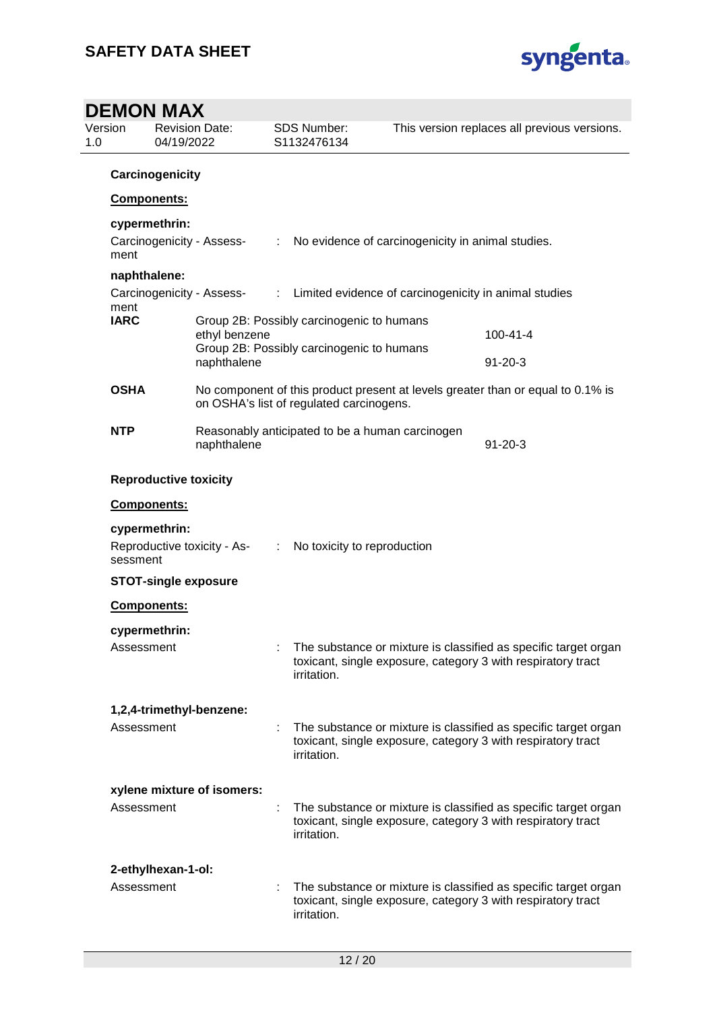

### **DEMON MAX** Version 1.0 Revision Date: 04/19/2022 SDS Number: S1132476134 This version replaces all previous versions. **Carcinogenicity Components: cypermethrin:** Carcinogenicity - Assessment : No evidence of carcinogenicity in animal studies. **naphthalene:** Carcinogenicity - Assessment<br>**IARC** : Limited evidence of carcinogenicity in animal studies **Group 2B: Possibly carcinogenic to humans** ethyl benzene 100-41-4 Group 2B: Possibly carcinogenic to humans naphthalene 91-20-3 **OSHA** No component of this product present at levels greater than or equal to 0.1% is on OSHA's list of regulated carcinogens. **NTP** Reasonably anticipated to be a human carcinogen naphthalene 91-20-3 **Reproductive toxicity Components: cypermethrin:** Reproductive toxicity - Assessment : No toxicity to reproduction **STOT-single exposure Components: cypermethrin:** Assessment : The substance or mixture is classified as specific target organ toxicant, single exposure, category 3 with respiratory tract irritation. **1,2,4-trimethyl-benzene:** Assessment : The substance or mixture is classified as specific target organ toxicant, single exposure, category 3 with respiratory tract irritation. **xylene mixture of isomers:** Assessment : The substance or mixture is classified as specific target organ toxicant, single exposure, category 3 with respiratory tract irritation. **2-ethylhexan-1-ol:** Assessment : The substance or mixture is classified as specific target organ toxicant, single exposure, category 3 with respiratory tract irritation.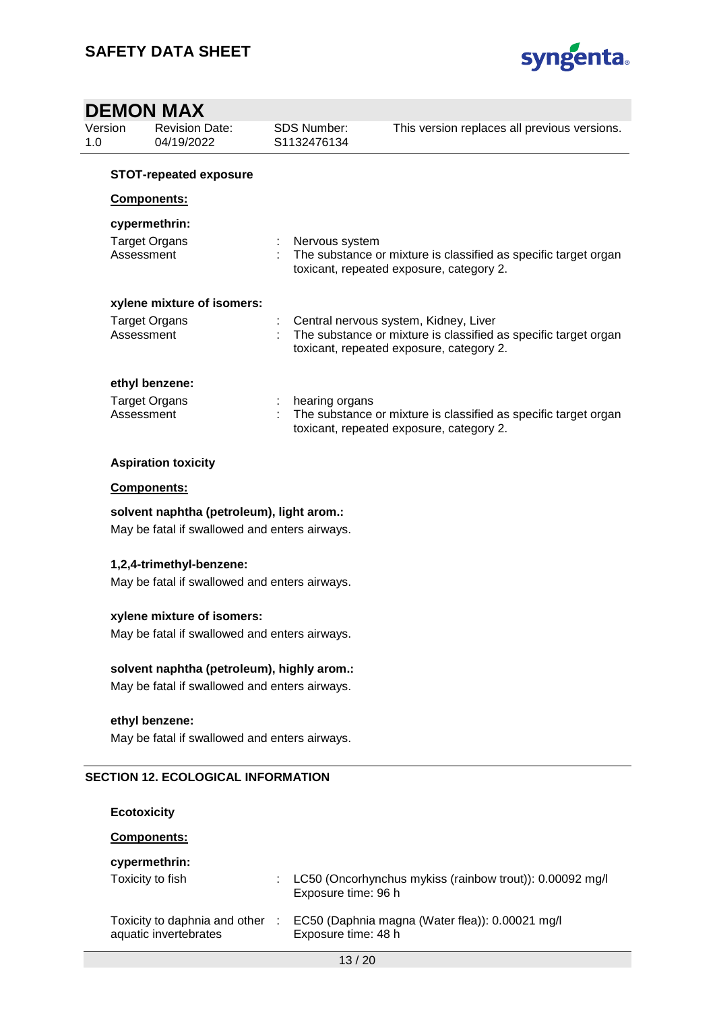

### **DEMON MAX** Version 1.0 Revision Date: 04/19/2022 SDS Number: S1132476134 This version replaces all previous versions. **STOT-repeated exposure Components: cypermethrin:** Target Organs : Nervous system Assessment : The substance or mixture is classified as specific target organ toxicant, repeated exposure, category 2. **xylene mixture of isomers:** Target Organs : Central nervous system, Kidney, Liver<br>Assessment : The substance or mixture is classified : The substance or mixture is classified as specific target organ toxicant, repeated exposure, category 2. **ethyl benzene:** Target Organs Target Organs in the substance<br>Assessment 1. The substance : The substance or mixture is classified as specific target organ toxicant, repeated exposure, category 2. **Aspiration toxicity Components: solvent naphtha (petroleum), light arom.:** May be fatal if swallowed and enters airways. **1,2,4-trimethyl-benzene:** May be fatal if swallowed and enters airways.

**xylene mixture of isomers:** May be fatal if swallowed and enters airways.

#### **solvent naphtha (petroleum), highly arom.:**

May be fatal if swallowed and enters airways.

#### **ethyl benzene:**

May be fatal if swallowed and enters airways.

#### **SECTION 12. ECOLOGICAL INFORMATION**

**Ecotoxicity**

#### **Components:**

#### **cypermethrin:**

| --<br>Toxicity to fish                                 | LC50 (Oncorhynchus mykiss (rainbow trout)): 0.00092 mg/l<br>Exposure time: 96 h |
|--------------------------------------------------------|---------------------------------------------------------------------------------|
| Toxicity to daphnia and other<br>aquatic invertebrates | EC50 (Daphnia magna (Water flea)): 0.00021 mg/l<br>Exposure time: 48 h          |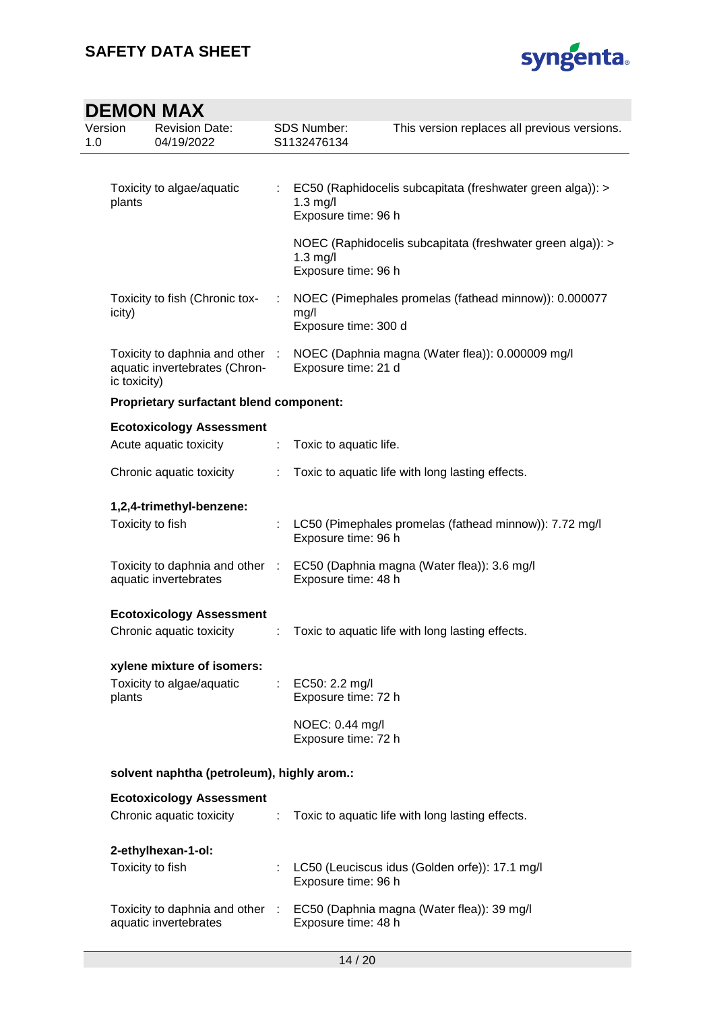

| Version<br>1.0 |                                            | <b>Revision Date:</b><br>04/19/2022                            |                | <b>SDS Number:</b><br>S1132476134      | This version replaces all previous versions.               |
|----------------|--------------------------------------------|----------------------------------------------------------------|----------------|----------------------------------------|------------------------------------------------------------|
|                | Toxicity to algae/aquatic<br>plants        |                                                                |                | $1.3$ mg/l<br>Exposure time: 96 h      | EC50 (Raphidocelis subcapitata (freshwater green alga)): > |
|                |                                            |                                                                |                | $1.3$ mg/l<br>Exposure time: 96 h      | NOEC (Raphidocelis subcapitata (freshwater green alga)): > |
|                | icity)                                     | Toxicity to fish (Chronic tox-                                 |                | mg/l<br>Exposure time: 300 d           | NOEC (Pimephales promelas (fathead minnow)): 0.000077      |
|                | ic toxicity)                               | Toxicity to daphnia and other<br>aquatic invertebrates (Chron- | - 1            | Exposure time: 21 d                    | NOEC (Daphnia magna (Water flea)): 0.000009 mg/l           |
|                |                                            | <b>Proprietary surfactant blend component:</b>                 |                |                                        |                                                            |
|                |                                            | <b>Ecotoxicology Assessment</b>                                |                |                                        |                                                            |
|                |                                            | Acute aquatic toxicity                                         | t              | Toxic to aquatic life.                 |                                                            |
|                | Chronic aquatic toxicity                   |                                                                |                |                                        | Toxic to aquatic life with long lasting effects.           |
|                | 1,2,4-trimethyl-benzene:                   |                                                                |                |                                        |                                                            |
|                | Toxicity to fish                           |                                                                |                | Exposure time: 96 h                    | LC50 (Pimephales promelas (fathead minnow)): 7.72 mg/l     |
|                |                                            | Toxicity to daphnia and other<br>aquatic invertebrates         | $\sim 10^{-1}$ | Exposure time: 48 h                    | EC50 (Daphnia magna (Water flea)): 3.6 mg/l                |
|                |                                            | <b>Ecotoxicology Assessment</b>                                |                |                                        |                                                            |
|                |                                            | Chronic aquatic toxicity                                       |                |                                        | Toxic to aquatic life with long lasting effects.           |
|                |                                            | xylene mixture of isomers:                                     |                |                                        |                                                            |
|                | plants                                     | Toxicity to algae/aquatic                                      | t.             | EC50: 2.2 mg/l<br>Exposure time: 72 h  |                                                            |
|                |                                            |                                                                |                | NOEC: 0.44 mg/l<br>Exposure time: 72 h |                                                            |
|                | solvent naphtha (petroleum), highly arom.: |                                                                |                |                                        |                                                            |
|                |                                            | <b>Ecotoxicology Assessment</b>                                |                |                                        |                                                            |
|                |                                            | Chronic aquatic toxicity                                       | ÷              |                                        | Toxic to aquatic life with long lasting effects.           |
|                |                                            | 2-ethylhexan-1-ol:                                             |                |                                        |                                                            |
|                | Toxicity to fish                           |                                                                |                | Exposure time: 96 h                    | LC50 (Leuciscus idus (Golden orfe)): 17.1 mg/l             |
|                |                                            | Toxicity to daphnia and other :<br>aquatic invertebrates       |                | Exposure time: 48 h                    | EC50 (Daphnia magna (Water flea)): 39 mg/l                 |
|                |                                            |                                                                |                |                                        |                                                            |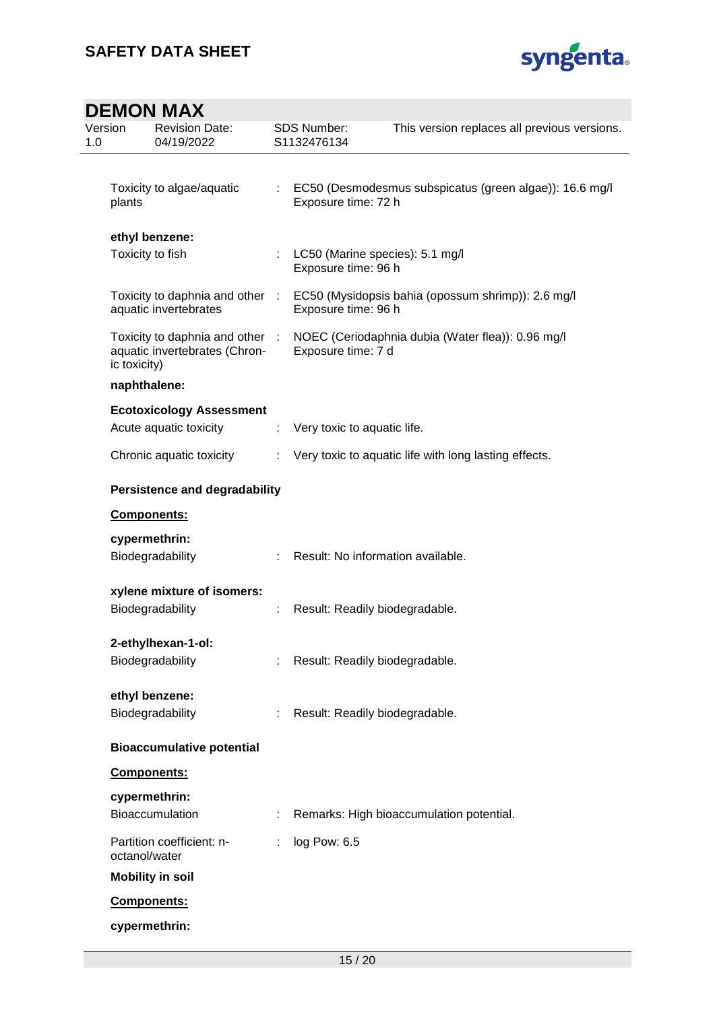

| Version<br>1.0 | <b>Revision Date:</b><br>04/19/2022                                              |    | <b>SDS Number:</b><br>S1132476134                                                | This version replaces all previous versions.          |  |  |  |
|----------------|----------------------------------------------------------------------------------|----|----------------------------------------------------------------------------------|-------------------------------------------------------|--|--|--|
|                |                                                                                  |    |                                                                                  |                                                       |  |  |  |
|                | Toxicity to algae/aquatic<br>plants                                              |    | : EC50 (Desmodesmus subspicatus (green algae)): 16.6 mg/l<br>Exposure time: 72 h |                                                       |  |  |  |
|                | ethyl benzene:                                                                   |    |                                                                                  |                                                       |  |  |  |
|                | Toxicity to fish                                                                 |    | LC50 (Marine species): 5.1 mg/l<br>Exposure time: 96 h                           |                                                       |  |  |  |
|                | Toxicity to daphnia and other :<br>aquatic invertebrates                         |    | Exposure time: 96 h                                                              | EC50 (Mysidopsis bahia (opossum shrimp)): 2.6 mg/l    |  |  |  |
|                | Toxicity to daphnia and other :<br>aquatic invertebrates (Chron-<br>ic toxicity) |    | Exposure time: 7 d                                                               | NOEC (Ceriodaphnia dubia (Water flea)): 0.96 mg/l     |  |  |  |
|                | naphthalene:                                                                     |    |                                                                                  |                                                       |  |  |  |
|                | <b>Ecotoxicology Assessment</b>                                                  |    |                                                                                  |                                                       |  |  |  |
|                | Acute aquatic toxicity                                                           | ÷. | Very toxic to aquatic life.                                                      |                                                       |  |  |  |
|                | Chronic aquatic toxicity                                                         |    |                                                                                  | Very toxic to aquatic life with long lasting effects. |  |  |  |
|                | <b>Persistence and degradability</b>                                             |    |                                                                                  |                                                       |  |  |  |
|                | Components:                                                                      |    |                                                                                  |                                                       |  |  |  |
|                | cypermethrin:<br>Biodegradability                                                |    | Result: No information available.                                                |                                                       |  |  |  |
|                | xylene mixture of isomers:                                                       |    |                                                                                  |                                                       |  |  |  |
|                | Biodegradability                                                                 | t. | Result: Readily biodegradable.                                                   |                                                       |  |  |  |
|                | 2-ethylhexan-1-ol:<br>Biodegradability                                           |    | Result: Readily biodegradable.                                                   |                                                       |  |  |  |
|                |                                                                                  |    |                                                                                  |                                                       |  |  |  |
|                | ethyl benzene:                                                                   |    |                                                                                  |                                                       |  |  |  |
|                | Biodegradability                                                                 | ÷. | Result: Readily biodegradable.                                                   |                                                       |  |  |  |
|                | <b>Bioaccumulative potential</b>                                                 |    |                                                                                  |                                                       |  |  |  |
|                | Components:                                                                      |    |                                                                                  |                                                       |  |  |  |
|                | cypermethrin:<br>Bioaccumulation                                                 |    |                                                                                  | Remarks: High bioaccumulation potential.              |  |  |  |
|                | Partition coefficient: n-<br>octanol/water                                       |    | log Pow: 6.5                                                                     |                                                       |  |  |  |
|                | <b>Mobility in soil</b>                                                          |    |                                                                                  |                                                       |  |  |  |
|                | <b>Components:</b>                                                               |    |                                                                                  |                                                       |  |  |  |
|                | cypermethrin:                                                                    |    |                                                                                  |                                                       |  |  |  |
|                |                                                                                  |    |                                                                                  |                                                       |  |  |  |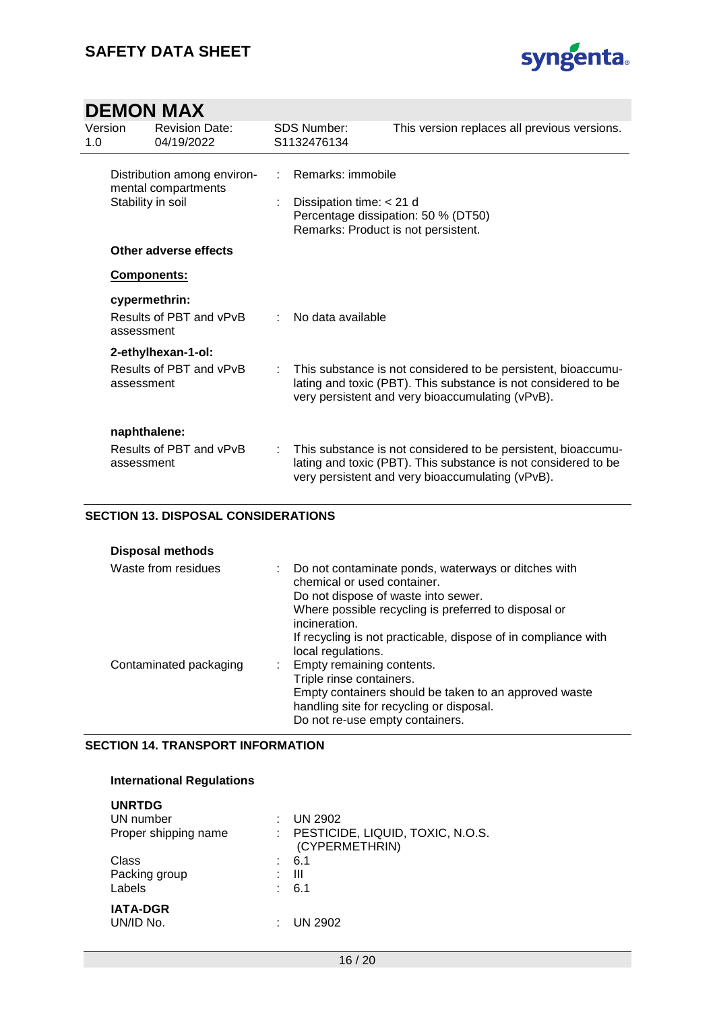

| Version<br>1.0 |                                                                         | <b>Revision Date:</b><br>04/19/2022      |    | <b>SDS Number:</b><br>S1132476134                                                                                             | This version replaces all previous versions.                                                                                                                                        |
|----------------|-------------------------------------------------------------------------|------------------------------------------|----|-------------------------------------------------------------------------------------------------------------------------------|-------------------------------------------------------------------------------------------------------------------------------------------------------------------------------------|
|                | Distribution among environ-<br>mental compartments<br>Stability in soil |                                          |    | Remarks: immobile<br>Dissipation time: $<$ 21 d<br>Percentage dissipation: 50 % (DT50)<br>Remarks: Product is not persistent. |                                                                                                                                                                                     |
|                |                                                                         | Other adverse effects                    |    |                                                                                                                               |                                                                                                                                                                                     |
|                | <b>Components:</b>                                                      |                                          |    |                                                                                                                               |                                                                                                                                                                                     |
|                | assessment                                                              | cypermethrin:<br>Results of PBT and vPvB |    | No data available                                                                                                             |                                                                                                                                                                                     |
|                |                                                                         | 2-ethylhexan-1-ol:                       |    |                                                                                                                               |                                                                                                                                                                                     |
|                | assessment                                                              | Results of PBT and vPvB                  | t. |                                                                                                                               | This substance is not considered to be persistent, bioaccumu-<br>lating and toxic (PBT). This substance is not considered to be<br>very persistent and very bioaccumulating (vPvB). |
|                | naphthalene:<br>assessment                                              | Results of PBT and vPvB                  | ÷. |                                                                                                                               | This substance is not considered to be persistent, bioaccumu-<br>lating and toxic (PBT). This substance is not considered to be<br>very persistent and very bioaccumulating (vPvB). |

#### **SECTION 13. DISPOSAL CONSIDERATIONS**

| <b>Disposal methods</b> |  |                                                                                                                                                                                                                                                                      |
|-------------------------|--|----------------------------------------------------------------------------------------------------------------------------------------------------------------------------------------------------------------------------------------------------------------------|
| Waste from residues     |  | Do not contaminate ponds, waterways or ditches with<br>chemical or used container.<br>Do not dispose of waste into sewer.<br>Where possible recycling is preferred to disposal or<br>incineration.<br>If recycling is not practicable, dispose of in compliance with |
|                         |  | local regulations.                                                                                                                                                                                                                                                   |
| Contaminated packaging  |  | : Empty remaining contents.                                                                                                                                                                                                                                          |
|                         |  | Triple rinse containers.                                                                                                                                                                                                                                             |
|                         |  | Empty containers should be taken to an approved waste                                                                                                                                                                                                                |
|                         |  | handling site for recycling or disposal.                                                                                                                                                                                                                             |
|                         |  | Do not re-use empty containers.                                                                                                                                                                                                                                      |

#### **SECTION 14. TRANSPORT INFORMATION**

#### **International Regulations**

| <b>UNRTDG</b><br>UN number<br>Proper shipping name | <b>UN 2902</b><br>PESTICIDE, LIQUID, TOXIC, N.O.S.<br>(CYPERMETHRIN) |
|----------------------------------------------------|----------------------------------------------------------------------|
| Class                                              | 6.1                                                                  |
| Packing group<br>÷                                 | Ш                                                                    |
| Labels                                             | : 6.1                                                                |
| <b>IATA-DGR</b><br>UN/ID No.                       | UN 2902                                                              |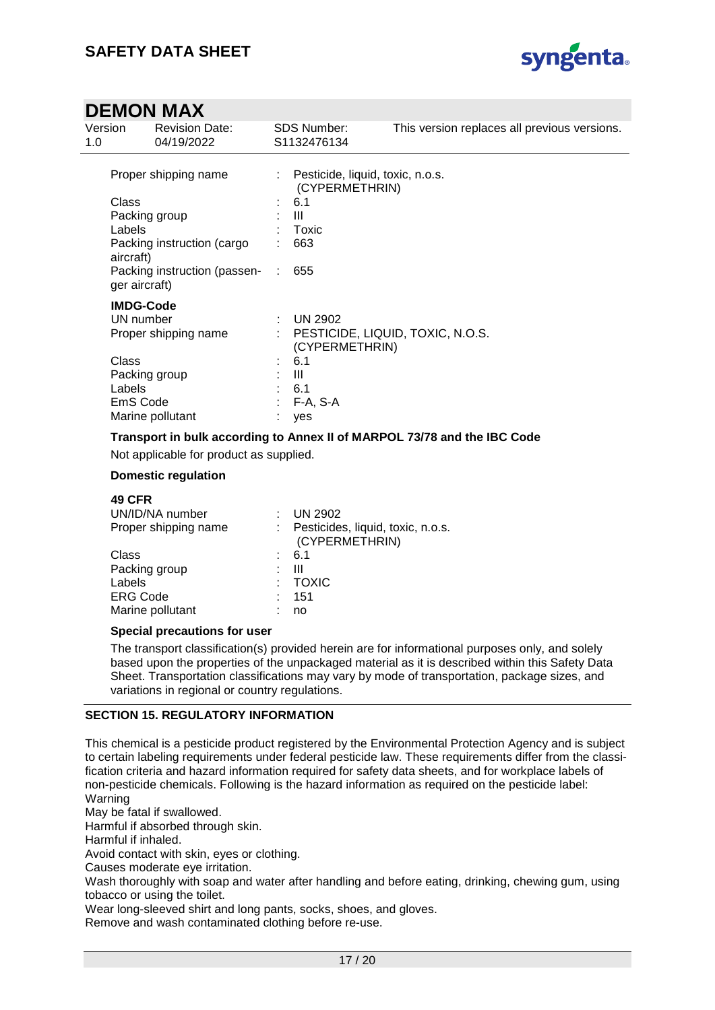

| Version<br>1.0                                               | <b>Revision Date:</b><br>04/19/2022                                         | <b>SDS Number:</b><br>S1132476134                                       | This version replaces all previous versions. |
|--------------------------------------------------------------|-----------------------------------------------------------------------------|-------------------------------------------------------------------------|----------------------------------------------|
|                                                              | Proper shipping name                                                        | : Pesticide, liquid, toxic, n.o.s.<br>(CYPERMETHRIN)                    |                                              |
| Class<br>Labels<br>aircraft)<br>ger aircraft)                | Packing group<br>Packing instruction (cargo<br>Packing instruction (passen- | : 6.1<br>- III<br>$:$ Toxic<br>663<br>655<br>$\mathcal{L}$              |                                              |
| <b>IMDG-Code</b><br>UN number<br>Class<br>Labels<br>EmS Code | Proper shipping name<br>Packing group<br>Marine pollutant                   | UN 2902<br>(CYPERMETHRIN)<br>: 6.1<br>Ш<br>: 6.1<br>$: F-A, S-A$<br>yes | : PESTICIDE, LIQUID, TOXIC, N.O.S.           |

**Transport in bulk according to Annex II of MARPOL 73/78 and the IBC Code**

Not applicable for product as supplied.

#### **Domestic regulation**

| <b>49 CFR</b>        |                                                       |
|----------------------|-------------------------------------------------------|
| UN/ID/NA number      | <b>UN 2902</b>                                        |
| Proper shipping name | : Pesticides, liquid, toxic, n.o.s.<br>(CYPERMETHRIN) |
| Class                | $\frac{1}{2}$ 6.1                                     |
| Packing group        | Ш                                                     |
| Labels               | : TOXIC                                               |
| <b>ERG Code</b>      | 151                                                   |
| Marine pollutant     | no                                                    |
|                      |                                                       |

#### **Special precautions for user**

The transport classification(s) provided herein are for informational purposes only, and solely based upon the properties of the unpackaged material as it is described within this Safety Data Sheet. Transportation classifications may vary by mode of transportation, package sizes, and variations in regional or country regulations.

#### **SECTION 15. REGULATORY INFORMATION**

This chemical is a pesticide product registered by the Environmental Protection Agency and is subject to certain labeling requirements under federal pesticide law. These requirements differ from the classification criteria and hazard information required for safety data sheets, and for workplace labels of non-pesticide chemicals. Following is the hazard information as required on the pesticide label: Warning

May be fatal if swallowed.

Harmful if absorbed through skin.

Harmful if inhaled.

Avoid contact with skin, eyes or clothing.

Causes moderate eye irritation.

Wash thoroughly with soap and water after handling and before eating, drinking, chewing gum, using tobacco or using the toilet.

Wear long-sleeved shirt and long pants, socks, shoes, and gloves.

Remove and wash contaminated clothing before re-use.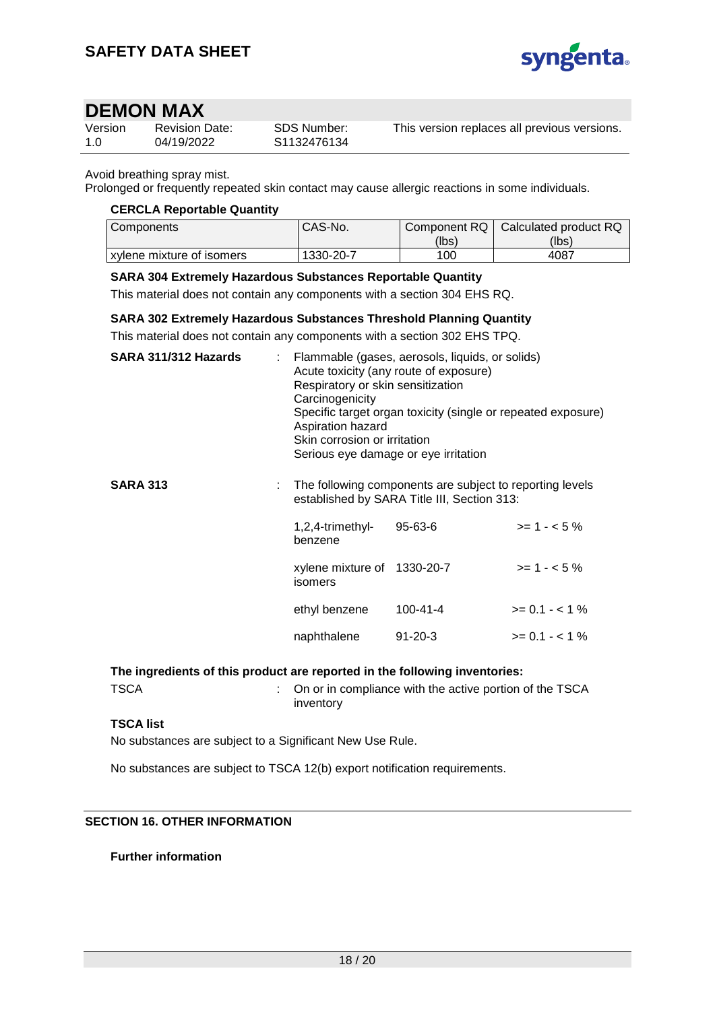

| Version | <b>Revision Date:</b> | SDS Number: | This version replaces all previous versions. |
|---------|-----------------------|-------------|----------------------------------------------|
| 1.0     | 04/19/2022            | S1132476134 |                                              |

#### Avoid breathing spray mist.

Prolonged or frequently repeated skin contact may cause allergic reactions in some individuals.

#### **CERCLA Reportable Quantity**

| l Components                | CAS-No.   | Component RQ | Calculated product RQ |
|-----------------------------|-----------|--------------|-----------------------|
|                             |           | (lbs)        | (lbs)                 |
| I xvlene mixture of isomers | 1330-20-7 | 100          | 4087                  |

#### **SARA 304 Extremely Hazardous Substances Reportable Quantity**

This material does not contain any components with a section 304 EHS RQ.

#### **SARA 302 Extremely Hazardous Substances Threshold Planning Quantity**

This material does not contain any components with a section 302 EHS TPQ.

| SARA 311/312 Hazards | : Flammable (gases, aerosols, liquids, or solids)<br>Acute toxicity (any route of exposure)<br>Respiratory or skin sensitization<br>Carcinogenicity<br>Specific target organ toxicity (single or repeated exposure)<br>Aspiration hazard<br>Skin corrosion or irritation<br>Serious eye damage or eye irritation |                                                                                                         |              |
|----------------------|------------------------------------------------------------------------------------------------------------------------------------------------------------------------------------------------------------------------------------------------------------------------------------------------------------------|---------------------------------------------------------------------------------------------------------|--------------|
| <b>SARA 313</b>      |                                                                                                                                                                                                                                                                                                                  | The following components are subject to reporting levels<br>established by SARA Title III, Section 313: |              |
|                      | $1,2,4$ -trimethyl-<br>benzene                                                                                                                                                                                                                                                                                   | $95 - 63 - 6$                                                                                           | $>= 1 - 5\%$ |

| xylene mixture of 1330-20-7<br>isomers |               | $>= 1 - 5\%$   |
|----------------------------------------|---------------|----------------|
| ethyl benzene                          | 100-41-4      | $>= 0.1 - 1\%$ |
| naphthalene                            | $91 - 20 - 3$ | $>= 0.1 - 1\%$ |

**The ingredients of this product are reported in the following inventories:**

TSCA : On or in compliance with the active portion of the TSCA inventory

#### **TSCA list**

No substances are subject to a Significant New Use Rule.

No substances are subject to TSCA 12(b) export notification requirements.

#### **SECTION 16. OTHER INFORMATION**

#### **Further information**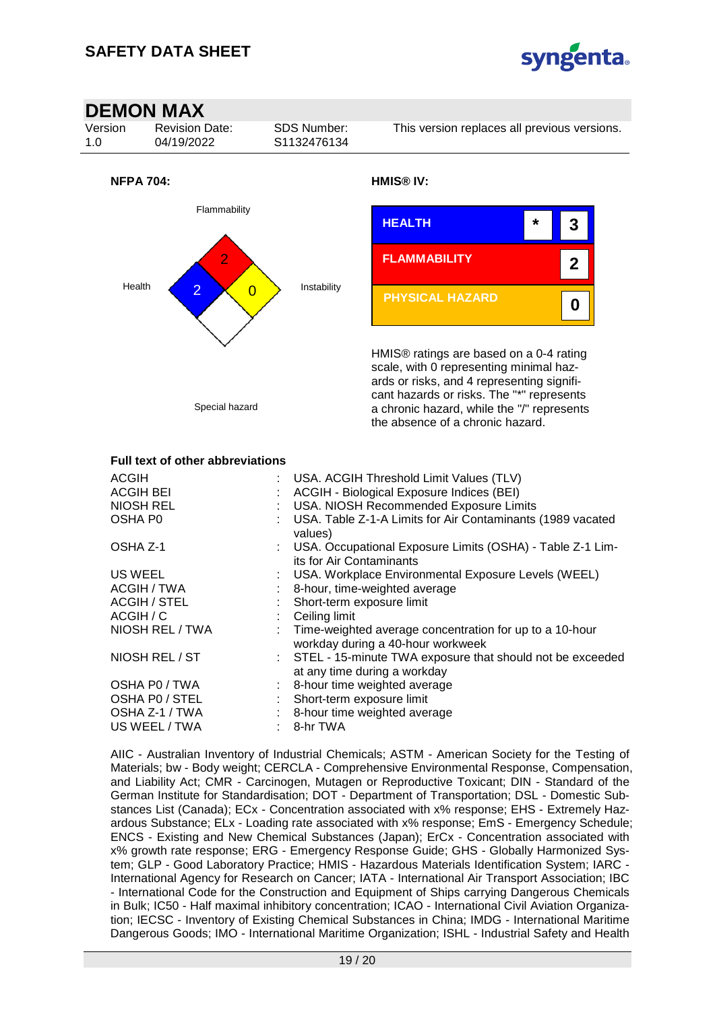



| OSHA Z-1            | : USA. Occupational Exposure Limits (OSHA) - Table Z-1 Lim-<br>its for Air Contaminants        |
|---------------------|------------------------------------------------------------------------------------------------|
| US WEEL             | : USA. Workplace Environmental Exposure Levels (WEEL)                                          |
| ACGIH / TWA         | 8-hour, time-weighted average                                                                  |
| <b>ACGIH / STEL</b> | : Short-term exposure limit                                                                    |
| ACGIH / C           | $\therefore$ Ceiling limit                                                                     |
| NIOSH REL / TWA     | : Time-weighted average concentration for up to a 10-hour<br>workday during a 40-hour workweek |
| NIOSH REL / ST      | : STEL - 15-minute TWA exposure that should not be exceeded<br>at any time during a workday    |
| OSHA P0 / TWA       | : 8-hour time weighted average                                                                 |
| OSHA P0 / STEL      | : Short-term exposure limit                                                                    |
| OSHA Z-1 / TWA      | : 8-hour time weighted average                                                                 |
| US WEEL / TWA       | 8-hr TWA                                                                                       |

AIIC - Australian Inventory of Industrial Chemicals; ASTM - American Society for the Testing of Materials; bw - Body weight; CERCLA - Comprehensive Environmental Response, Compensation, and Liability Act; CMR - Carcinogen, Mutagen or Reproductive Toxicant; DIN - Standard of the German Institute for Standardisation; DOT - Department of Transportation; DSL - Domestic Substances List (Canada); ECx - Concentration associated with x% response; EHS - Extremely Hazardous Substance; ELx - Loading rate associated with x% response; EmS - Emergency Schedule; ENCS - Existing and New Chemical Substances (Japan); ErCx - Concentration associated with x% growth rate response; ERG - Emergency Response Guide; GHS - Globally Harmonized System; GLP - Good Laboratory Practice; HMIS - Hazardous Materials Identification System; IARC - International Agency for Research on Cancer; IATA - International Air Transport Association; IBC - International Code for the Construction and Equipment of Ships carrying Dangerous Chemicals in Bulk; IC50 - Half maximal inhibitory concentration; ICAO - International Civil Aviation Organization; IECSC - Inventory of Existing Chemical Substances in China; IMDG - International Maritime Dangerous Goods; IMO - International Maritime Organization; ISHL - Industrial Safety and Health